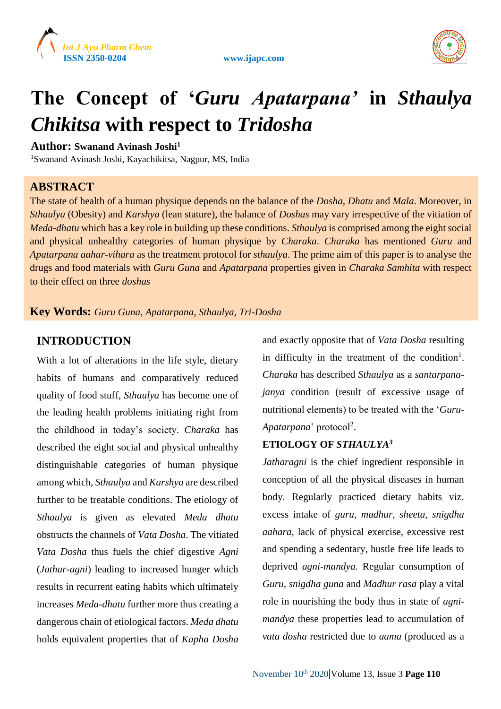





# **The Concept of '***Guru Apatarpana'* **in** *Sthaulya Chikitsa* **with respect to** *Tridosha*

## **Author: Swanand Avinash Joshi<sup>1</sup>**

<sup>1</sup>Swanand Avinash Joshi, Kayachikitsa, Nagpur, MS, India

# **ABSTRACT**

The state of health of a human physique depends on the balance of the *Dosha*, *Dhatu* and *Mala*. Moreover, in *Sthaulya* (Obesity) and *Karshya* (lean stature), the balance of *Doshas* may vary irrespective of the vitiation of *Meda*-*dhatu* which has a key role in building up these conditions. *Sthaulya* is comprised among the eight social and physical unhealthy categories of human physique by *Charaka*. *Charaka* has mentioned *Guru* and *Apatarpana aahar*-*vihara* as the treatment protocol for *sthaulya*. The prime aim of this paper is to analyse the drugs and food materials with *Guru Guna* and *Apatarpana* properties given in *Charaka Samhita* with respect to their effect on three *doshas*

## **Key Words:** *Guru Guna, Apatarpana, Sthaulya, Tri-Dosha*

## **INTRODUCTION**

With a lot of alterations in the life style, dietary habits of humans and comparatively reduced quality of food stuff, *Sthaulya* has become one of the leading health problems initiating right from the childhood in today's society. *Charaka* has described the eight social and physical unhealthy distinguishable categories of human physique among which, *Sthaulya* and *Karshya* are described further to be treatable conditions. The etiology of *Sthaulya* is given as elevated *Meda dhatu* obstructs the channels of *Vata Dosha*. The vitiated *Vata Dosha* thus fuels the chief digestive *Agni* (*Jathar*-*agni*) leading to increased hunger which results in recurrent eating habits which ultimately increases *Meda*-*dhatu* further more thus creating a dangerous chain of etiological factors. *Meda dhatu* holds equivalent properties that of *Kapha Dosha*

and exactly opposite that of *Vata Dosha* resulting in difficulty in the treatment of the condition<sup>1</sup>. *Charaka* has described *Sthaulya* as a *santarpanajanya* condition (result of excessive usage of nutritional elements) to be treated with the '*Guru*-Apatarpana' protocol<sup>2</sup>.

### **ETIOLOGY OF** *STHAULYA<sup>3</sup>*

*Jatharagni* is the chief ingredient responsible in conception of all the physical diseases in human body. Regularly practiced dietary habits viz. excess intake of *guru, madhur, sheeta, snigdha aahara*, lack of physical exercise, excessive rest and spending a sedentary, hustle free life leads to deprived *agni-mandya.* Regular consumption of *Guru, snigdha guna* and *Madhur rasa* play a vital role in nourishing the body thus in state of *agnimandya* these properties lead to accumulation of *vata dosha* restricted due to *aama* (produced as a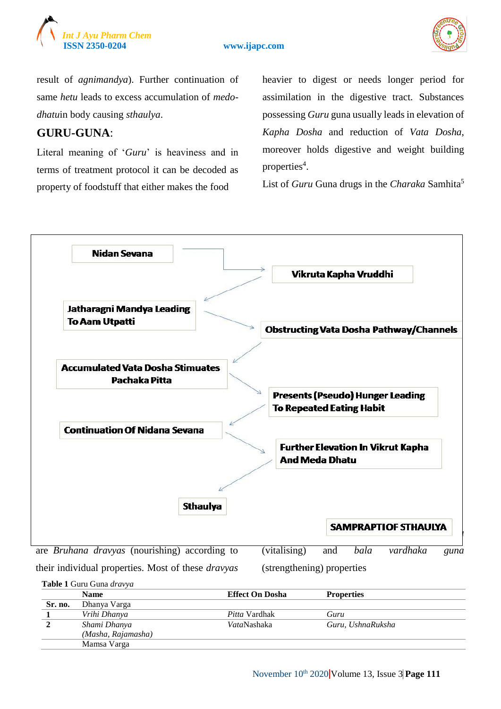

#### www.ijapc.com



result of *agnimandya*). Further continuation of same *hetu* leads to excess accumulation of *medodhatu*in body causing *sthaulya*.

## **GURU-GUNA**:

Literal meaning of '*Guru*' is heaviness and in terms of treatment protocol it can be decoded as property of foodstuff that either makes the food

heavier to digest or needs longer period for assimilation in the digestive tract. Substances possessing *Guru* guna usually leads in elevation of *Kapha Dosha* and reduction of *Vata Dosha*, moreover holds digestive and weight building properties<sup>4</sup>.

List of *Guru* Guna drugs in the *Charaka* Samhita<sup>5</sup>



their individual properties. Most of these *dravyas*

(strengthening) properties

**Table 1** Guru Guna *dravya*

|         | <b>Name</b>        | <b>Effect On Dosha</b> | <b>Properties</b> |  |
|---------|--------------------|------------------------|-------------------|--|
| Sr. no. | Dhanya Varga       |                        |                   |  |
|         | Vrihi Dhanya       | <i>Pitta</i> Vardhak   | Guru              |  |
|         | Shami Dhanya       | <i>Vata</i> Nashaka    | Guru, UshnaRuksha |  |
|         | (Masha, Rajamasha) |                        |                   |  |
|         | Mamsa Varga        |                        |                   |  |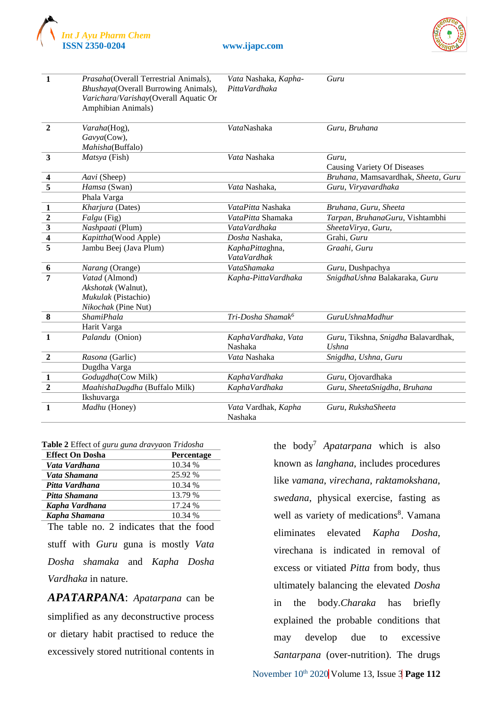



| 1                         | Prasaha(Overall Terrestrial Animals), | Vata Nashaka, Kapha-          | Guru                                |
|---------------------------|---------------------------------------|-------------------------------|-------------------------------------|
|                           | Bhushaya(Overall Burrowing Animals),  | PittaVardhaka                 |                                     |
|                           | Varichara/Varishay(Overall Aquatic Or |                               |                                     |
|                           | Amphibian Animals)                    |                               |                                     |
|                           |                                       |                               |                                     |
| $\overline{2}$            | Varaha(Hog),                          | VataNashaka                   | Guru, Bruhana                       |
|                           | Gavya(Cow),                           |                               |                                     |
|                           | Mahisha(Buffalo)                      |                               |                                     |
| $\mathbf{3}$              | Matsya (Fish)                         | Vata Nashaka                  | Guru,                               |
|                           |                                       |                               | <b>Causing Variety Of Diseases</b>  |
| 4                         | Aavi (Sheep)                          |                               | Bruhana, Mamsavardhak, Sheeta, Guru |
| 5                         | Hamsa (Swan)                          | Vata Nashaka,                 | Guru, Viryavardhaka                 |
|                           | Phala Varga                           |                               |                                     |
| $\mathbf{1}$              | Kharjura (Dates)                      | VataPitta Nashaka             | Bruhana, Guru, Sheeta               |
| $\boldsymbol{2}$          | Falgu (Fig)                           | VataPitta Shamaka             | Tarpan, BruhanaGuru, Vishtambhi     |
| $\overline{\overline{3}}$ | Nashpaati (Plum)                      | VataVardhaka                  | SheetaVirya, Guru,                  |
| $\overline{\bf{4}}$       | Kapittha(Wood Apple)                  | Dosha Nashaka,                | Grahi, Guru                         |
| 5                         | Jambu Beej (Java Plum)                | KaphaPittaghna,               | Graahi, Guru                        |
|                           |                                       | VataVardhak                   |                                     |
| 6                         | Narang (Orange)                       | VataShamaka                   | Guru, Dushpachya                    |
| 7                         | Vatad (Almond)                        | Kapha-PittaVardhaka           | SnigdhaUshna Balakaraka, Guru       |
|                           | Akshotak (Walnut),                    |                               |                                     |
|                           | Mukulak (Pistachio)                   |                               |                                     |
|                           | Nikochak (Pine Nut)                   |                               |                                     |
| 8                         | <b>ShamiPhala</b>                     | Tri-Dosha Shamak <sup>6</sup> | GuruUshnaMadhur                     |
|                           | Harit Varga                           |                               |                                     |
| $\mathbf{1}$              | Palandu (Onion)                       | KaphaVardhaka, Vata           | Guru, Tikshna, Snigdha Balavardhak, |
|                           |                                       | Nashaka                       | Ushna                               |
| $\overline{2}$            | Rasona (Garlic)                       | Vata Nashaka                  | Snigdha, Ushna, Guru                |
|                           | Dugdha Varga                          |                               |                                     |
| $\mathbf{1}$              | Godugdha(Cow Milk)                    | KaphaVardhaka                 | Guru, Ojovardhaka                   |
| $\overline{2}$            | MaahishaDugdha (Buffalo Milk)         | KaphaVardhaka                 | Guru, SheetaSnigdha, Bruhana        |
|                           | Ikshuvarga                            |                               |                                     |
| $\mathbf{1}$              | Madhu (Honey)                         | Vata Vardhak, Kapha           | Guru, RukshaSheeta                  |
|                           |                                       | Nashaka                       |                                     |

| Table 2 Effect of guru guna dravyaon Tridosha |  |
|-----------------------------------------------|--|
|-----------------------------------------------|--|

| <b>Effect On Dosha</b> | Percentage |
|------------------------|------------|
| Vata Vardhana          | 10.34 %    |
| Vata Shamana           | 25.92 %    |
| Pitta Vardhana         | 10.34 %    |
| Pitta Shamana          | 13.79 %    |
| Kapha Vardhana         | 17.24 %    |
| Kapha Shamana          | 10.34 %    |
|                        |            |

The table no. 2 indicates that the food stuff with *Guru* guna is mostly *Vata Dosha shamaka* and *Kapha Dosha Vardhaka* in nature.

*APATARPANA*: *Apatarpana* can be simplified as any deconstructive process or dietary habit practised to reduce the excessively stored nutritional contents in the body<sup>7</sup> *Apatarpana* which is also known as *langhana*, includes procedures like *vamana*, *virechana*, *raktamokshana*, *swedana*, physical exercise, fasting as well as variety of medications<sup>8</sup>. Vamana eliminates elevated *Kapha Dosha*, virechana is indicated in removal of excess or vitiated *Pitta* from body, thus ultimately balancing the elevated *Dosha* in the body.*Charaka* has briefly explained the probable conditions that may develop due to excessive *Santarpana* (over-nutrition). The drugs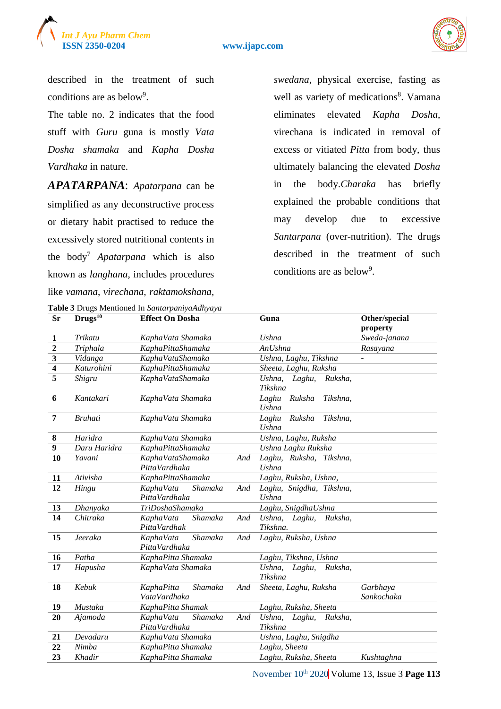

#### **ISSN 2350-0204 www.ijapc.com**



described in the treatment of such conditions are as below<sup>9</sup>.

The table no. 2 indicates that the food stuff with *Guru* guna is mostly *Vata Dosha shamaka* and *Kapha Dosha Vardhaka* in nature.

*APATARPANA*: *Apatarpana* can be simplified as any deconstructive process or dietary habit practised to reduce the excessively stored nutritional contents in the body<sup>7</sup> *Apatarpana* which is also known as *langhana*, includes procedures like *vamana*, *virechana*, *raktamokshana*,

**Table 3** Drugs Mentioned In *SantarpaniyaAdhyaya*

*swedana*, physical exercise, fasting as well as variety of medications<sup>8</sup>. Vamana eliminates elevated *Kapha Dosha*, virechana is indicated in removal of excess or vitiated *Pitta* from body, thus ultimately balancing the elevated *Dosha* in the body.*Charaka* has briefly explained the probable conditions that may develop due to excessive *Santarpana* (over-nutrition). The drugs described in the treatment of such conditions are as below<sup>9</sup>.

| <b>Sr</b>               | Drugs <sup>10</sup> | <b>Effect On Dosha</b>              | Guna                              | Other/special |
|-------------------------|---------------------|-------------------------------------|-----------------------------------|---------------|
|                         |                     |                                     |                                   | property      |
| $\mathbf{1}$            | Trikatu             | KaphaVata Shamaka                   | Ushna                             | Sweda-janana  |
| $\overline{2}$          | Triphala            | KaphaPittaShamaka                   | AnUshna                           | Rasayana      |
| $\overline{\mathbf{3}}$ | Vidanga             | KaphaVataShamaka                    | Ushna, Laghu, Tikshna             |               |
| $\overline{4}$          | Katurohini          | KaphaPittaShamaka                   | Sheeta, Laghu, Ruksha             |               |
| $\overline{5}$          | Shigru              | KaphaVataShamaka                    | Ushna,<br>Laghu,<br>Ruksha,       |               |
|                         |                     |                                     | Tikshna                           |               |
| 6                       | Kantakari           | KaphaVata Shamaka                   | Ruksha<br>Tikshna,<br>Laghu       |               |
| $\overline{7}$          | <b>Bruhati</b>      |                                     | Ushna<br>Laghu Ruksha<br>Tikshna, |               |
|                         |                     | KaphaVata Shamaka                   | Ushna                             |               |
| 8                       | Haridra             | KaphaVata Shamaka                   | Ushna, Laghu, Ruksha              |               |
| $\boldsymbol{9}$        | Daru Haridra        | KaphaPittaShamaka                   | Ushna Laghu Ruksha                |               |
| 10                      | Yavani              | KaphaVataShamaka<br>And             | Laghu, Ruksha, Tikshna,           |               |
|                         |                     | PittaVardhaka                       | Ushna                             |               |
| 11                      | Ativisha            | KaphaPittaShamaka                   | Laghu, Ruksha, Ushna,             |               |
| 12                      | Hingu               | Shamaka<br>KaphaVata<br>And         | Laghu, Snigdha, Tikshna,          |               |
|                         |                     | PittaVardhaka                       | Ushna                             |               |
| 13                      | Dhanyaka            | <b>TriDoshaShamaka</b>              | Laghu, SnigdhaUshna               |               |
| 14                      | Chitraka            | Shamaka<br>KaphaVata<br>And         | Ushna, Laghu, Ruksha,             |               |
|                         |                     | PittaVardhak                        | Tikshna.                          |               |
| 15                      | Jeeraka             | Shamaka<br>KaphaVata<br>And         | Laghu, Ruksha, Ushna              |               |
|                         |                     | PittaVardhaka                       |                                   |               |
| 16                      | Patha               | KaphaPitta Shamaka                  | Laghu, Tikshna, Ushna             |               |
| 17                      | Hapusha             | KaphaVata Shamaka                   | Ushna,<br>Laghu,<br>Ruksha,       |               |
|                         |                     |                                     | Tikshna                           |               |
| 18                      | Kebuk               | Shamaka<br><b>KaphaPitta</b><br>And | Sheeta, Laghu, Ruksha             | Garbhaya      |
|                         |                     | VataVardhaka                        |                                   | Sankochaka    |
| 19                      | Mustaka             | KaphaPitta Shamak                   | Laghu, Ruksha, Sheeta             |               |
| 20                      | Ajamoda             | KaphaVata<br>Shamaka<br>And         | Ushna,<br>Laghu, Ruksha,          |               |
|                         |                     | PittaVardhaka                       | Tikshna                           |               |
| 21                      | Devadaru            | KaphaVata Shamaka                   | Ushna, Laghu, Snigdha             |               |
| 22                      | Nimba               | KaphaPitta Shamaka                  | Laghu, Sheeta                     |               |
| 23                      | Khadir              | KaphaPitta Shamaka                  | Laghu, Ruksha, Sheeta             | Kushtaghna    |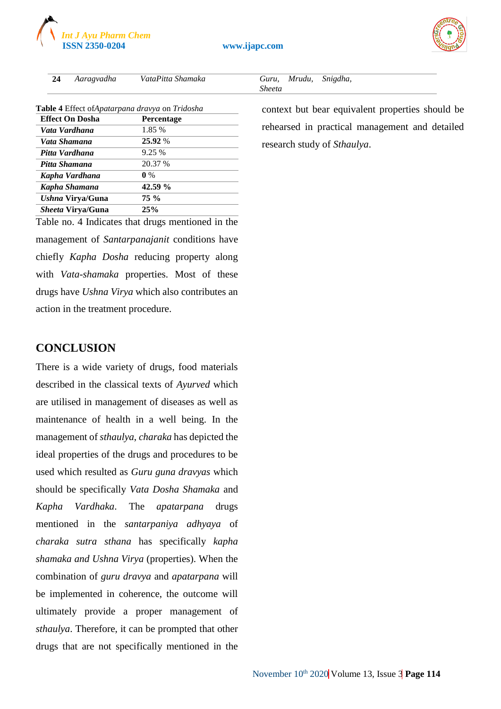



| 24                                   | Aaragvadha               | VataPitta Shamaka                                                                                                                                                                                                                                                                                | Snigdha,<br>Mrudu,<br>Guru,<br><i>Sheeta</i> |
|--------------------------------------|--------------------------|--------------------------------------------------------------------------------------------------------------------------------------------------------------------------------------------------------------------------------------------------------------------------------------------------|----------------------------------------------|
|                                      |                          | <b>Table 4</b> Effect of <i>Apatarpana dravya</i> on <i>Tridosha</i>                                                                                                                                                                                                                             | context but bear equiv                       |
| <b>Effect On Dosha</b><br>Percentage |                          |                                                                                                                                                                                                                                                                                                  |                                              |
| Vata Vardhana                        |                          | 1.85 %                                                                                                                                                                                                                                                                                           | rehearsed in practical                       |
| Vata Shamana                         |                          | 25.92 %                                                                                                                                                                                                                                                                                          | research study of <i>Sthat</i>               |
|                                      | Pitta Vardhana           | 9.25%                                                                                                                                                                                                                                                                                            |                                              |
| Pitta Shamana                        |                          | 20.37 %                                                                                                                                                                                                                                                                                          |                                              |
|                                      | Kapha Vardhana           | $0\%$                                                                                                                                                                                                                                                                                            |                                              |
|                                      | Kapha Shamana            | 42.59 %                                                                                                                                                                                                                                                                                          |                                              |
|                                      | <i>Ushna</i> Virya/Guna  | 75 %                                                                                                                                                                                                                                                                                             |                                              |
|                                      | <i>Sheeta</i> Virya/Guna | 25%                                                                                                                                                                                                                                                                                              |                                              |
|                                      | 7011 171 111             | $\mathbf{1}$ and $\mathbf{1}$ and $\mathbf{1}$ and $\mathbf{1}$ and $\mathbf{1}$ and $\mathbf{1}$ and $\mathbf{1}$ and $\mathbf{1}$ and $\mathbf{1}$ and $\mathbf{1}$ and $\mathbf{1}$ and $\mathbf{1}$ and $\mathbf{1}$ and $\mathbf{1}$ and $\mathbf{1}$ and $\mathbf{1}$ and $\mathbf{1}$ and |                                              |

*Sheeta*

context but bear equivalent properties should be rehearsed in practical management and detailed research study of *Sthaulya*.

Table no. 4 Indicates that drugs mentioned in the management of *Santarpanajanit* conditions have chiefly *Kapha Dosha* reducing property along with *Vata-shamaka* properties. Most of these drugs have *Ushna Virya* which also contributes an action in the treatment procedure.

## **CONCLUSION**

There is a wide variety of drugs, food materials described in the classical texts of *Ayurved* which are utilised in management of diseases as well as maintenance of health in a well being. In the management of *sthaulya*, *charaka* has depicted the ideal properties of the drugs and procedures to be used which resulted as *Guru guna dravyas* which should be specifically *Vata Dosha Shamaka* and *Kapha Vardhaka*. The *apatarpana* drugs mentioned in the *santarpaniya adhyaya* of *charaka sutra sthana* has specifically *kapha shamaka and Ushna Virya* (properties). When the combination of *guru dravya* and *apatarpana* will be implemented in coherence, the outcome will ultimately provide a proper management of *sthaulya*. Therefore, it can be prompted that other drugs that are not specifically mentioned in the